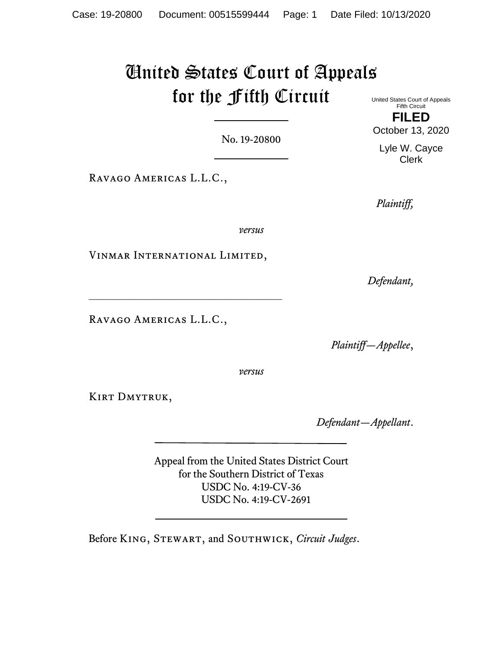# United States Court of Appeals for the Fifth Circuit

No. 19-20800

Ravago Americas L.L.C.,

*Plaintiff,*

*versus*

Vinmar International Limited,

*Defendant,*

Ravago Americas L.L.C.,

*Plaintiff—Appellee*,

*versus*

Kirt Dmytruk,

*Defendant—Appellant*.

Appeal from the United States District Court for the Southern District of Texas USDC No. 4:19-CV-36 USDC No. 4:19-CV-2691

Before King, Stewart, and Southwick, *Circuit Judges*.

United States Court of Appeals Fifth Circuit

**FILED** October 13, 2020

Lyle W. Cayce Clerk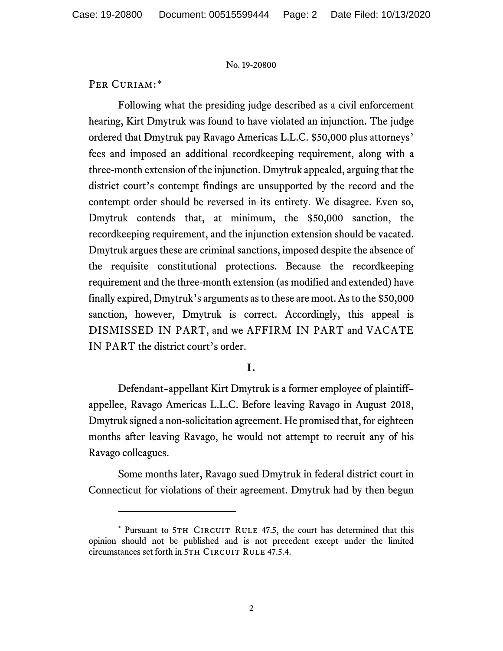PER CURIAM:[\\*](#page-1-0)

Following what the presiding judge described as a civil enforcement hearing, Kirt Dmytruk was found to have violated an injunction. The judge ordered that Dmytruk pay Ravago Americas L.L.C. \$50,000 plus attorneys' fees and imposed an additional recordkeeping requirement, along with a three-month extension of the injunction. Dmytruk appealed, arguing that the district court's contempt findings are unsupported by the record and the contempt order should be reversed in its entirety. We disagree. Even so, Dmytruk contends that, at minimum, the \$50,000 sanction, the recordkeeping requirement, and the injunction extension should be vacated. Dmytruk argues these are criminal sanctions, imposed despite the absence of the requisite constitutional protections. Because the recordkeeping requirement and the three-month extension (as modified and extended) have finally expired, Dmytruk's arguments as to these are moot.As to the \$50,000 sanction, however, Dmytruk is correct. Accordingly, this appeal is DISMISSED IN PART, and we AFFIRM IN PART and VACATE IN PART the district court's order.

## **I.**

Defendant–appellant Kirt Dmytruk is a former employee of plaintiff– appellee, Ravago Americas L.L.C. Before leaving Ravago in August 2018, Dmytruk signed a non-solicitation agreement. He promised that, for eighteen months after leaving Ravago, he would not attempt to recruit any of his Ravago colleagues.

Some months later, Ravago sued Dmytruk in federal district court in Connecticut for violations of their agreement. Dmytruk had by then begun

<span id="page-1-0"></span><sup>\*</sup> Pursuant to 5TH CIRCUIT RULE 47.5, the court has determined that this opinion should not be published and is not precedent except under the limited circumstances set forth in 5TH CIRCUIT RULE 47.5.4.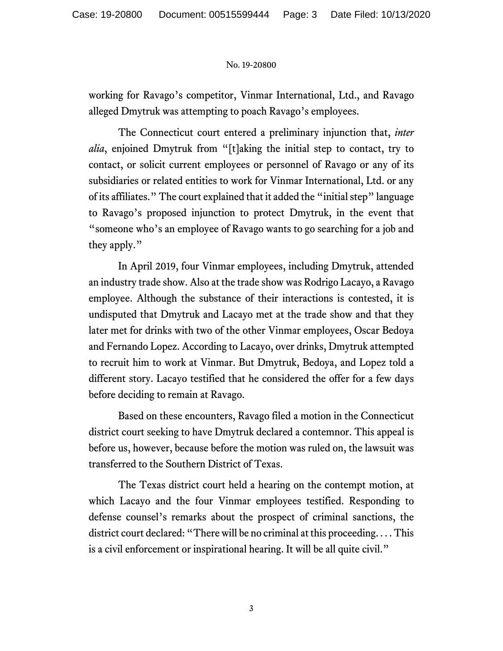working for Ravago's competitor, Vinmar International, Ltd., and Ravago alleged Dmytruk was attempting to poach Ravago's employees.

The Connecticut court entered a preliminary injunction that, *inter alia*, enjoined Dmytruk from "[t]aking the initial step to contact, try to contact, or solicit current employees or personnel of Ravago or any of its subsidiaries or related entities to work for Vinmar International, Ltd. or any of its affiliates." The court explained that it added the "initial step" language to Ravago's proposed injunction to protect Dmytruk, in the event that "someone who's an employee of Ravago wants to go searching for a job and they apply."

In April 2019, four Vinmar employees, including Dmytruk, attended an industry trade show. Also at the trade show was Rodrigo Lacayo, a Ravago employee. Although the substance of their interactions is contested, it is undisputed that Dmytruk and Lacayo met at the trade show and that they later met for drinks with two of the other Vinmar employees, Oscar Bedoya and Fernando Lopez. According to Lacayo, over drinks, Dmytruk attempted to recruit him to work at Vinmar. But Dmytruk, Bedoya, and Lopez told a different story. Lacayo testified that he considered the offer for a few days before deciding to remain at Ravago.

Based on these encounters, Ravago filed a motion in the Connecticut district court seeking to have Dmytruk declared a contemnor. This appeal is before us, however, because before the motion was ruled on, the lawsuit was transferred to the Southern District of Texas.

The Texas district court held a hearing on the contempt motion, at which Lacayo and the four Vinmar employees testified. Responding to defense counsel's remarks about the prospect of criminal sanctions, the district court declared: "There will be no criminal at this proceeding. . . . This is a civil enforcement or inspirational hearing. It will be all quite civil."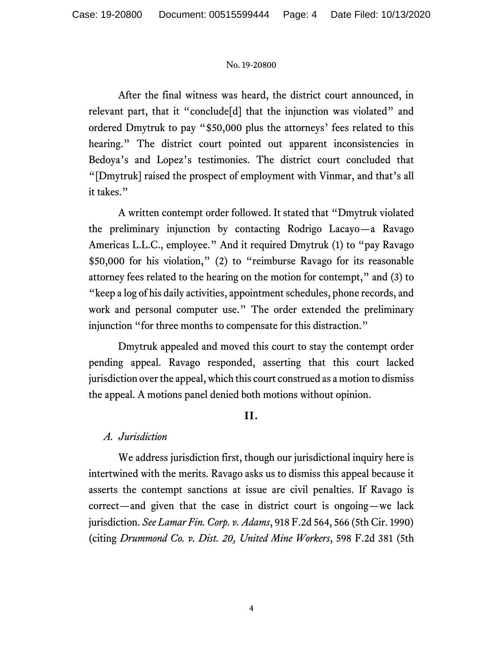After the final witness was heard, the district court announced, in relevant part, that it "conclude<sup>[d]</sup> that the injunction was violated" and ordered Dmytruk to pay "\$50,000 plus the attorneys' fees related to this hearing." The district court pointed out apparent inconsistencies in Bedoya's and Lopez's testimonies. The district court concluded that "[Dmytruk] raised the prospect of employment with Vinmar, and that's all it takes."

A written contempt order followed. It stated that "Dmytruk violated the preliminary injunction by contacting Rodrigo Lacayo—a Ravago Americas L.L.C., employee." And it required Dmytruk (1) to "pay Ravago \$50,000 for his violation," (2) to "reimburse Ravago for its reasonable attorney fees related to the hearing on the motion for contempt," and (3) to "keep a log of his daily activities, appointment schedules, phone records, and work and personal computer use." The order extended the preliminary injunction "for three months to compensate for this distraction."

Dmytruk appealed and moved this court to stay the contempt order pending appeal. Ravago responded, asserting that this court lacked jurisdiction over the appeal, which this court construed as a motion to dismiss the appeal. A motions panel denied both motions without opinion.

## **II.**

# *A. Jurisdiction*

We address jurisdiction first, though our jurisdictional inquiry here is intertwined with the merits. Ravago asks us to dismiss this appeal because it asserts the contempt sanctions at issue are civil penalties. If Ravago is correct—and given that the case in district court is ongoing—we lack jurisdiction. *See Lamar Fin. Corp. v. Adams*, 918 F.2d 564, 566 (5th Cir. 1990) (citing *Drummond Co. v. Dist. 20, United Mine Workers*, 598 F.2d 381 (5th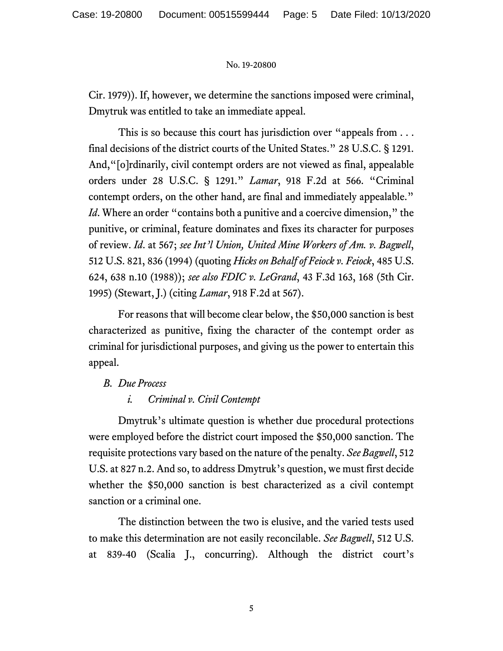Cir. 1979)). If, however, we determine the sanctions imposed were criminal, Dmytruk was entitled to take an immediate appeal.

This is so because this court has jurisdiction over "appeals from . . . final decisions of the district courts of the United States." 28 U.S.C. § 1291. And,"[o]rdinarily, civil contempt orders are not viewed as final, appealable orders under 28 U.S.C. § 1291." *Lamar*, 918 F.2d at 566. "Criminal contempt orders, on the other hand, are final and immediately appealable." *Id*. Where an order "contains both a punitive and a coercive dimension," the punitive, or criminal, feature dominates and fixes its character for purposes of review. *Id*. at 567; *see Int'l Union, United Mine Workers of Am. v. Bagwell*, 512 U.S. 821, 836 (1994) (quoting *Hicks on Behalf of Feiock v. Feiock*, 485 U.S. 624, 638 n.10 (1988)); *see also FDIC v. LeGrand*, 43 F.3d 163, 168 (5th Cir. 1995) (Stewart, J.) (citing *Lamar*, 918 F.2d at 567).

For reasons that will become clear below, the \$50,000 sanction is best characterized as punitive, fixing the character of the contempt order as criminal for jurisdictional purposes, and giving us the power to entertain this appeal.

## *B. Due Process*

# *i. Criminal v. Civil Contempt*

Dmytruk's ultimate question is whether due procedural protections were employed before the district court imposed the \$50,000 sanction. The requisite protections vary based on the nature of the penalty. *See Bagwell*, 512 U.S. at 827 n.2. And so, to address Dmytruk's question, we must first decide whether the \$50,000 sanction is best characterized as a civil contempt sanction or a criminal one.

The distinction between the two is elusive, and the varied tests used to make this determination are not easily reconcilable. *See Bagwell*, 512 U.S. at 839-40 (Scalia J., concurring). Although the district court's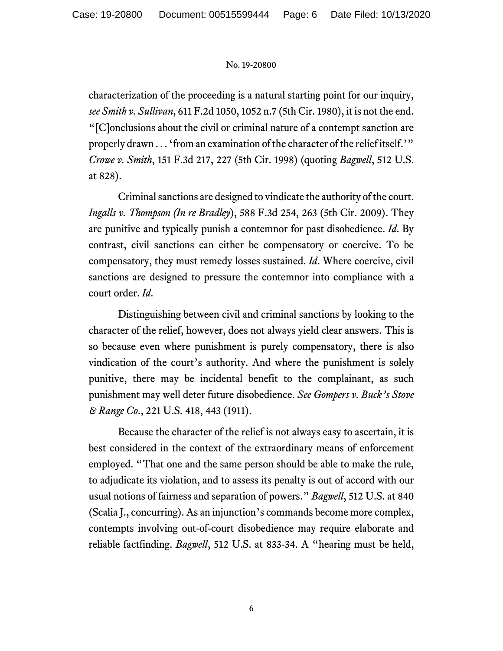characterization of the proceeding is a natural starting point for our inquiry, *see Smith v. Sullivan*, 611 F.2d 1050, 1052 n.7 (5th Cir. 1980), it is not the end. "[C]onclusions about the civil or criminal nature of a contempt sanction are properly drawn . . . 'from an examination of the character of the relief itself.'" *Crowe v. Smith*, 151 F.3d 217, 227 (5th Cir. 1998) (quoting *Bagwell*, 512 U.S. at 828).

Criminal sanctions are designed to vindicate the authority of the court. *Ingalls v. Thompson (In re Bradley*), 588 F.3d 254, 263 (5th Cir. 2009). They are punitive and typically punish a contemnor for past disobedience. *Id*. By contrast, civil sanctions can either be compensatory or coercive. To be compensatory, they must remedy losses sustained. *Id*. Where coercive, civil sanctions are designed to pressure the contemnor into compliance with a court order. *Id*.

Distinguishing between civil and criminal sanctions by looking to the character of the relief, however, does not always yield clear answers. This is so because even where punishment is purely compensatory, there is also vindication of the court's authority. And where the punishment is solely punitive, there may be incidental benefit to the complainant, as such punishment may well deter future disobedience. *See Gompers v. Buck's Stove & Range Co*., 221 U.S. 418, 443 (1911).

Because the character of the relief is not always easy to ascertain, it is best considered in the context of the extraordinary means of enforcement employed. "That one and the same person should be able to make the rule, to adjudicate its violation, and to assess its penalty is out of accord with our usual notions of fairness and separation of powers." *Bagwell*, 512 U.S. at 840 (Scalia J., concurring). As an injunction's commands become more complex, contempts involving out-of-court disobedience may require elaborate and reliable factfinding. *Bagwell*, 512 U.S. at 833-34. A "hearing must be held,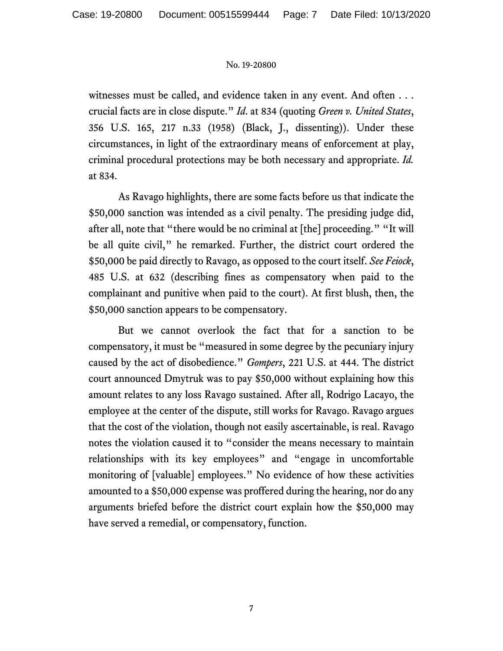witnesses must be called, and evidence taken in any event. And often . . . crucial facts are in close dispute." *Id*. at 834 (quoting *Green v. United States*, 356 U.S. 165, 217 n.33 (1958) (Black, J., dissenting)). Under these circumstances, in light of the extraordinary means of enforcement at play, criminal procedural protections may be both necessary and appropriate. *Id.* at 834.

As Ravago highlights, there are some facts before us that indicate the \$50,000 sanction was intended as a civil penalty. The presiding judge did, after all, note that "there would be no criminal at [the] proceeding." "It will be all quite civil," he remarked. Further, the district court ordered the \$50,000 be paid directly to Ravago, as opposed to the court itself. *See Feiock*, 485 U.S. at 632 (describing fines as compensatory when paid to the complainant and punitive when paid to the court). At first blush, then, the \$50,000 sanction appears to be compensatory.

But we cannot overlook the fact that for a sanction to be compensatory, it must be "measured in some degree by the pecuniary injury caused by the act of disobedience." *Gompers*, 221 U.S. at 444. The district court announced Dmytruk was to pay \$50,000 without explaining how this amount relates to any loss Ravago sustained. After all, Rodrigo Lacayo, the employee at the center of the dispute, still works for Ravago. Ravago argues that the cost of the violation, though not easily ascertainable, is real. Ravago notes the violation caused it to "consider the means necessary to maintain relationships with its key employees" and "engage in uncomfortable monitoring of [valuable] employees." No evidence of how these activities amounted to a \$50,000 expense was proffered during the hearing, nor do any arguments briefed before the district court explain how the \$50,000 may have served a remedial, or compensatory, function.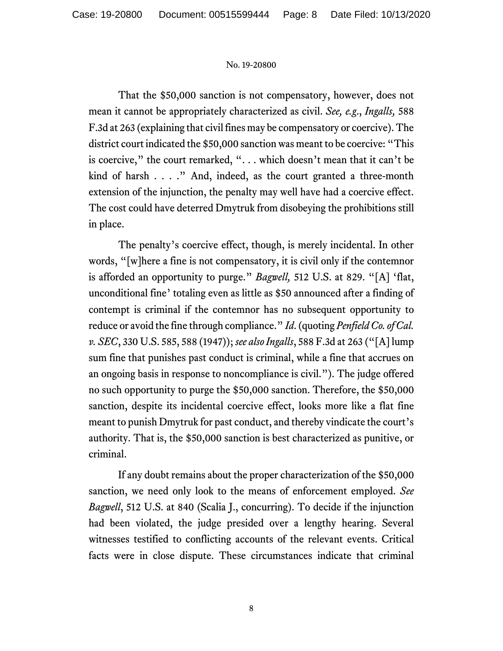That the \$50,000 sanction is not compensatory, however, does not mean it cannot be appropriately characterized as civil. *See, e.g*., *Ingalls,* 588 F.3d at 263 (explaining that civil fines may be compensatory or coercive). The district court indicated the \$50,000 sanction was meant to be coercive: "This is coercive," the court remarked, ". . . which doesn't mean that it can't be kind of harsh . . . ." And, indeed, as the court granted a three-month extension of the injunction, the penalty may well have had a coercive effect. The cost could have deterred Dmytruk from disobeying the prohibitions still in place.

The penalty's coercive effect, though, is merely incidental. In other words, "[w]here a fine is not compensatory, it is civil only if the contemnor is afforded an opportunity to purge." *Bagwell,* 512 U.S. at 829. "[A] 'flat, unconditional fine' totaling even as little as \$50 announced after a finding of contempt is criminal if the contemnor has no subsequent opportunity to reduce or avoid the fine through compliance." *Id*. (quoting *Penfield Co. of Cal. v. SEC*, 330 U.S. 585, 588 (1947)); *see also Ingalls*, 588 F.3d at 263 ("[A] lump sum fine that punishes past conduct is criminal, while a fine that accrues on an ongoing basis in response to noncompliance is civil."). The judge offered no such opportunity to purge the \$50,000 sanction. Therefore, the \$50,000 sanction, despite its incidental coercive effect, looks more like a flat fine meant to punish Dmytruk for past conduct, and thereby vindicate the court's authority. That is, the \$50,000 sanction is best characterized as punitive, or criminal.

If any doubt remains about the proper characterization of the \$50,000 sanction, we need only look to the means of enforcement employed. *See Bagwell*, 512 U.S. at 840 (Scalia J., concurring). To decide if the injunction had been violated, the judge presided over a lengthy hearing. Several witnesses testified to conflicting accounts of the relevant events. Critical facts were in close dispute. These circumstances indicate that criminal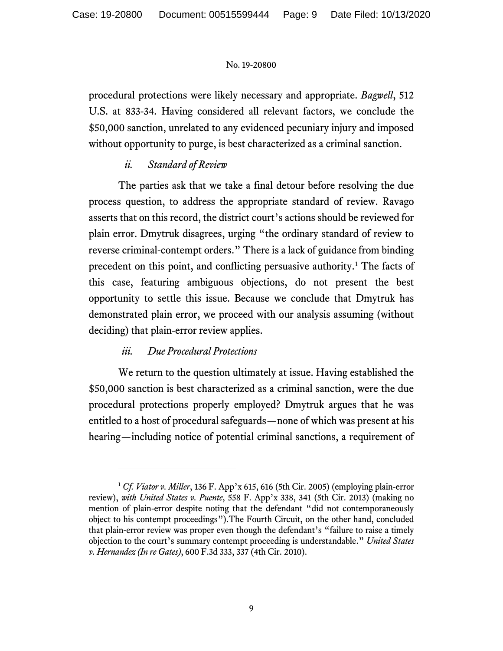procedural protections were likely necessary and appropriate. *Bagwell*, 512 U.S. at 833-34. Having considered all relevant factors, we conclude the \$50,000 sanction, unrelated to any evidenced pecuniary injury and imposed without opportunity to purge, is best characterized as a criminal sanction.

## *ii. Standard of Review*

The parties ask that we take a final detour before resolving the due process question, to address the appropriate standard of review. Ravago asserts that on this record, the district court's actions should be reviewed for plain error. Dmytruk disagrees, urging "the ordinary standard of review to reverse criminal-contempt orders." There is a lack of guidance from binding precedent on this point, and conflicting persuasive authority.<sup>[1](#page-8-0)</sup> The facts of this case, featuring ambiguous objections, do not present the best opportunity to settle this issue. Because we conclude that Dmytruk has demonstrated plain error, we proceed with our analysis assuming (without deciding) that plain-error review applies.

# *iii. Due Procedural Protections*

We return to the question ultimately at issue. Having established the \$50,000 sanction is best characterized as a criminal sanction, were the due procedural protections properly employed? Dmytruk argues that he was entitled to a host of procedural safeguards—none of which was present at his hearing—including notice of potential criminal sanctions, a requirement of

<span id="page-8-0"></span><sup>1</sup> *Cf. Viator v. Miller*, 136 F. App'x 615, 616 (5th Cir. 2005) (employing plain-error review), *with United States v. Puente*, 558 F. App'x 338, 341 (5th Cir. 2013) (making no mention of plain-error despite noting that the defendant "did not contemporaneously object to his contempt proceedings").The Fourth Circuit, on the other hand, concluded that plain-error review was proper even though the defendant's "failure to raise a timely objection to the court's summary contempt proceeding is understandable." *United States v. Hernandez (In re Gates)*, 600 F.3d 333, 337 (4th Cir. 2010).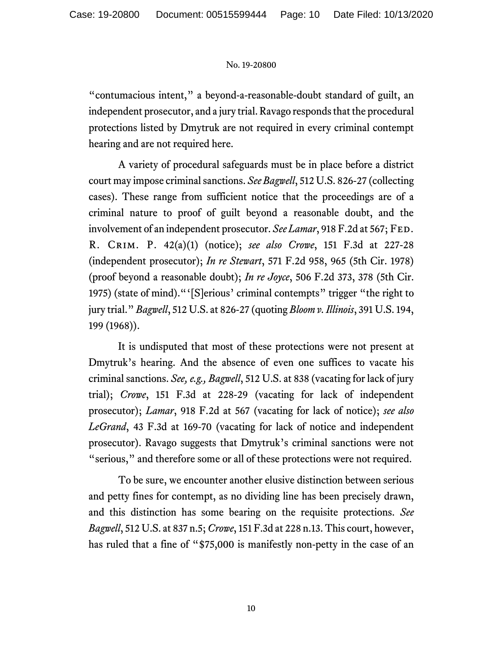"contumacious intent," a beyond-a-reasonable-doubt standard of guilt, an independent prosecutor, and a jury trial. Ravago responds that the procedural protections listed by Dmytruk are not required in every criminal contempt hearing and are not required here.

A variety of procedural safeguards must be in place before a district court may impose criminal sanctions. *See Bagwell*, 512 U.S. 826-27 (collecting cases). These range from sufficient notice that the proceedings are of a criminal nature to proof of guilt beyond a reasonable doubt, and the involvement of an independent prosecutor. *See Lamar*, 918 F.2d at 567; FED. R. Crim. P. 42(a)(1) (notice); *see also Crowe*, 151 F.3d at 227-28 (independent prosecutor); *In re Stewart*, 571 F.2d 958, 965 (5th Cir. 1978) (proof beyond a reasonable doubt); *In re Joyce*, 506 F.2d 373, 378 (5th Cir. 1975) (state of mind)."'[S]erious' criminal contempts" trigger "the right to jury trial." *Bagwell*, 512 U.S. at 826-27 (quoting *Bloom v. Illinois*, 391 U.S. 194, 199 (1968)).

It is undisputed that most of these protections were not present at Dmytruk's hearing. And the absence of even one suffices to vacate his criminal sanctions. *See, e.g., Bagwell*, 512 U.S. at 838 (vacating for lack of jury trial); *Crowe*, 151 F.3d at 228-29 (vacating for lack of independent prosecutor); *Lamar*, 918 F.2d at 567 (vacating for lack of notice); *see also LeGrand*, 43 F.3d at 169-70 (vacating for lack of notice and independent prosecutor). Ravago suggests that Dmytruk's criminal sanctions were not "serious," and therefore some or all of these protections were not required.

To be sure, we encounter another elusive distinction between serious and petty fines for contempt, as no dividing line has been precisely drawn, and this distinction has some bearing on the requisite protections. *See Bagwell*, 512 U.S. at 837 n.5; *Crowe*, 151 F.3d at 228 n.13. This court, however, has ruled that a fine of "\$75,000 is manifestly non-petty in the case of an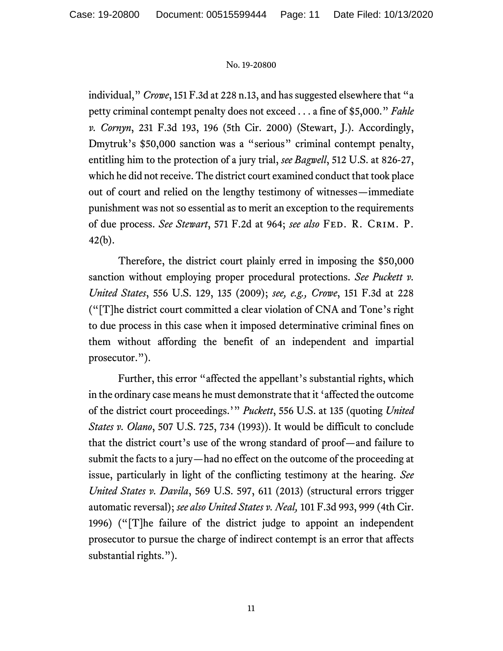individual," *Crowe*, 151 F.3d at 228 n.13, and has suggested elsewhere that "a petty criminal contempt penalty does not exceed . . . a fine of \$5,000." *Fahle v. Cornyn*, 231 F.3d 193, 196 (5th Cir. 2000) (Stewart, J.). Accordingly, Dmytruk's \$50,000 sanction was a "serious" criminal contempt penalty, entitling him to the protection of a jury trial, *see Bagwell*, 512 U.S. at 826-27, which he did not receive. The district court examined conduct that took place out of court and relied on the lengthy testimony of witnesses—immediate punishment was not so essential as to merit an exception to the requirements of due process. *See Stewart*, 571 F.2d at 964; *see also* Fed. R. Crim. P. 42(b).

Therefore, the district court plainly erred in imposing the \$50,000 sanction without employing proper procedural protections. *See Puckett v. United States*, 556 U.S. 129, 135 (2009); *see, e.g., Crowe*, 151 F.3d at 228 ("[T]he district court committed a clear violation of CNA and Tone's right to due process in this case when it imposed determinative criminal fines on them without affording the benefit of an independent and impartial prosecutor.").

Further, this error "affected the appellant's substantial rights, which in the ordinary case means he must demonstrate that it 'affected the outcome of the district court proceedings.'" *Puckett*, 556 U.S. at 135 (quoting *United States v. Olano*, 507 U.S. 725, 734 (1993)). It would be difficult to conclude that the district court's use of the wrong standard of proof—and failure to submit the facts to a jury—had no effect on the outcome of the proceeding at issue, particularly in light of the conflicting testimony at the hearing. *See United States v. Davila*, 569 U.S. 597, 611 (2013) (structural errors trigger automatic reversal); *see also United States v. Neal,* 101 F.3d 993, 999 (4th Cir. 1996) ("[T]he failure of the district judge to appoint an independent prosecutor to pursue the charge of indirect contempt is an error that affects substantial rights.").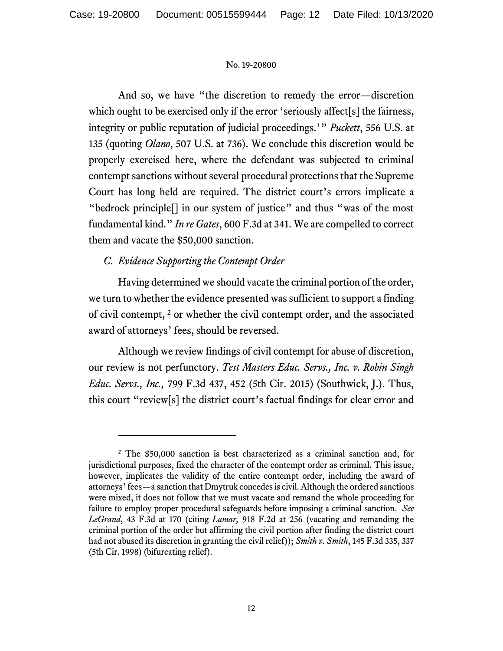And so, we have "the discretion to remedy the error—discretion which ought to be exercised only if the error 'seriously affect[s] the fairness, integrity or public reputation of judicial proceedings.'" *Puckett*, 556 U.S. at 135 (quoting *Olano*, 507 U.S. at 736). We conclude this discretion would be properly exercised here, where the defendant was subjected to criminal contempt sanctions without several procedural protections that the Supreme Court has long held are required. The district court's errors implicate a "bedrock principle[] in our system of justice" and thus "was of the most fundamental kind." *In re Gates*, 600 F.3d at 341. We are compelled to correct them and vacate the \$50,000 sanction.

*C. Evidence Supporting the Contempt Order*

Having determined we should vacate the criminal portion of the order, we turn to whether the evidence presented was sufficient to support a finding of civil contempt, [2](#page-11-0) or whether the civil contempt order, and the associated award of attorneys' fees, should be reversed.

Although we review findings of civil contempt for abuse of discretion, our review is not perfunctory. *Test Masters Educ. Servs., Inc. v. Robin Singh Educ. Servs., Inc.,* 799 F.3d 437, 452 (5th Cir. 2015) (Southwick, J.). Thus, this court "review[s] the district court's factual findings for clear error and

<span id="page-11-0"></span><sup>&</sup>lt;sup>2</sup> The \$50,000 sanction is best characterized as a criminal sanction and, for jurisdictional purposes, fixed the character of the contempt order as criminal. This issue, however, implicates the validity of the entire contempt order, including the award of attorneys' fees—a sanction that Dmytruk concedes is civil. Although the ordered sanctions were mixed, it does not follow that we must vacate and remand the whole proceeding for failure to employ proper procedural safeguards before imposing a criminal sanction. *See LeGrand*, 43 F.3d at 170 (citing *Lamar,* 918 F.2d at 256 (vacating and remanding the criminal portion of the order but affirming the civil portion after finding the district court had not abused its discretion in granting the civil relief)); *Smith v. Smith*, 145 F.3d 335, 337 (5th Cir. 1998) (bifurcating relief).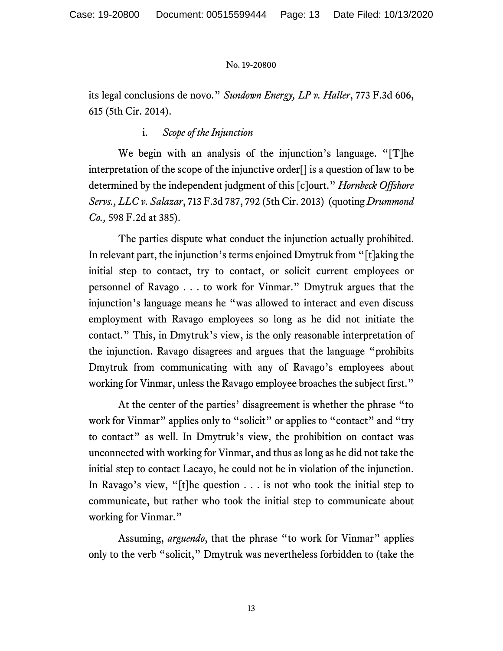its legal conclusions de novo." *Sundown Energy, LP v. Haller*, 773 F.3d 606, 615 (5th Cir. 2014).

# i. *Scope of the Injunction*

We begin with an analysis of the injunction's language. "[T]he interpretation of the scope of the injunctive order[] is a question of law to be determined by the independent judgment of this [c]ourt." *Hornbeck Offshore Servs., LLC v. Salazar*, 713 F.3d 787, 792 (5th Cir. 2013) (quoting *Drummond Co.,* 598 F.2d at 385).

The parties dispute what conduct the injunction actually prohibited. In relevant part, the injunction's terms enjoined Dmytruk from "[t]aking the initial step to contact, try to contact, or solicit current employees or personnel of Ravago . . . to work for Vinmar." Dmytruk argues that the injunction's language means he "was allowed to interact and even discuss employment with Ravago employees so long as he did not initiate the contact." This, in Dmytruk's view, is the only reasonable interpretation of the injunction. Ravago disagrees and argues that the language "prohibits Dmytruk from communicating with any of Ravago's employees about working for Vinmar, unless the Ravago employee broaches the subject first."

At the center of the parties' disagreement is whether the phrase "to work for Vinmar" applies only to "solicit" or applies to "contact" and "try to contact" as well. In Dmytruk's view, the prohibition on contact was unconnected with working for Vinmar, and thus as long as he did not take the initial step to contact Lacayo, he could not be in violation of the injunction. In Ravago's view, "[t]he question . . . is not who took the initial step to communicate, but rather who took the initial step to communicate about working for Vinmar."

Assuming, *arguendo*, that the phrase "to work for Vinmar" applies only to the verb "solicit," Dmytruk was nevertheless forbidden to (take the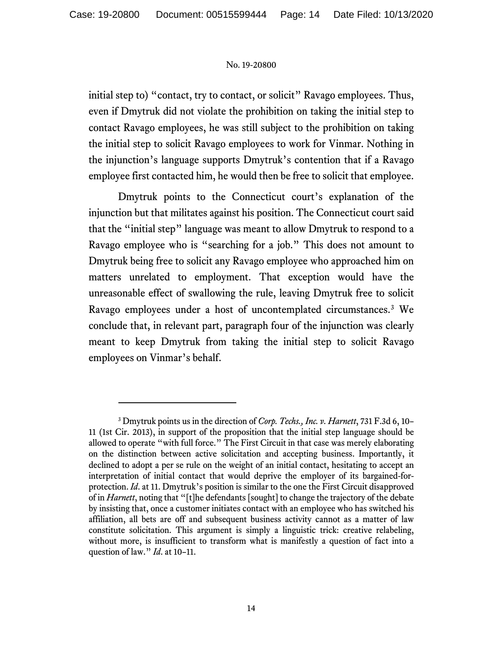initial step to) "contact, try to contact, or solicit" Ravago employees. Thus, even if Dmytruk did not violate the prohibition on taking the initial step to contact Ravago employees, he was still subject to the prohibition on taking the initial step to solicit Ravago employees to work for Vinmar. Nothing in the injunction's language supports Dmytruk's contention that if a Ravago employee first contacted him, he would then be free to solicit that employee.

Dmytruk points to the Connecticut court's explanation of the injunction but that militates against his position. The Connecticut court said that the "initial step" language was meant to allow Dmytruk to respond to a Ravago employee who is "searching for a job." This does not amount to Dmytruk being free to solicit any Ravago employee who approached him on matters unrelated to employment. That exception would have the unreasonable effect of swallowing the rule, leaving Dmytruk free to solicit Ravago employees under a host of uncontemplated circumstances.<sup>[3](#page-13-0)</sup> We conclude that, in relevant part, paragraph four of the injunction was clearly meant to keep Dmytruk from taking the initial step to solicit Ravago employees on Vinmar's behalf.

<span id="page-13-0"></span><sup>3</sup> Dmytruk points us in the direction of *Corp. Techs., Inc. v. Harnett*, 731 F.3d 6, 10– 11 (1st Cir. 2013), in support of the proposition that the initial step language should be allowed to operate "with full force." The First Circuit in that case was merely elaborating on the distinction between active solicitation and accepting business. Importantly, it declined to adopt a per se rule on the weight of an initial contact, hesitating to accept an interpretation of initial contact that would deprive the employer of its bargained-forprotection. *Id*. at 11. Dmytruk's position is similar to the one the First Circuit disapproved of in *Harnett*, noting that "[t]he defendants [sought] to change the trajectory of the debate by insisting that, once a customer initiates contact with an employee who has switched his affiliation, all bets are off and subsequent business activity cannot as a matter of law constitute solicitation. This argument is simply a linguistic trick: creative relabeling, without more, is insufficient to transform what is manifestly a question of fact into a question of law." *Id*. at 10–11.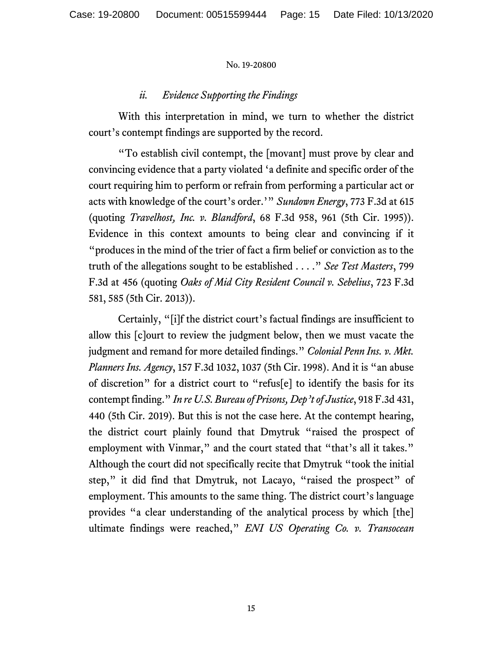## *ii. Evidence Supporting the Findings*

With this interpretation in mind, we turn to whether the district court's contempt findings are supported by the record.

"To establish civil contempt, the [movant] must prove by clear and convincing evidence that a party violated 'a definite and specific order of the court requiring him to perform or refrain from performing a particular act or acts with knowledge of the court's order.'" *Sundown Energy*, 773 F.3d at 615 (quoting *Travelhost, Inc. v. Blandford*, 68 F.3d 958, 961 (5th Cir. 1995)). Evidence in this context amounts to being clear and convincing if it "produces in the mind of the trier of fact a firm belief or conviction as to the truth of the allegations sought to be established . . . ." *See Test Masters*, 799 F.3d at 456 (quoting *Oaks of Mid City Resident Council v. Sebelius*, 723 F.3d 581, 585 (5th Cir. 2013)).

Certainly, "[i]f the district court's factual findings are insufficient to allow this [c]ourt to review the judgment below, then we must vacate the judgment and remand for more detailed findings." *Colonial Penn Ins. v. Mkt. Planners Ins. Agency*, 157 F.3d 1032, 1037 (5th Cir. 1998). And it is "an abuse of discretion" for a district court to "refus[e] to identify the basis for its contempt finding." *In re U.S. Bureau of Prisons, Dep't of Justice*, 918 F.3d 431, 440 (5th Cir. 2019). But this is not the case here. At the contempt hearing, the district court plainly found that Dmytruk "raised the prospect of employment with Vinmar," and the court stated that "that's all it takes." Although the court did not specifically recite that Dmytruk "took the initial step," it did find that Dmytruk, not Lacayo, "raised the prospect" of employment. This amounts to the same thing. The district court's language provides "a clear understanding of the analytical process by which [the] ultimate findings were reached," *ENI US Operating Co. v. Transocean*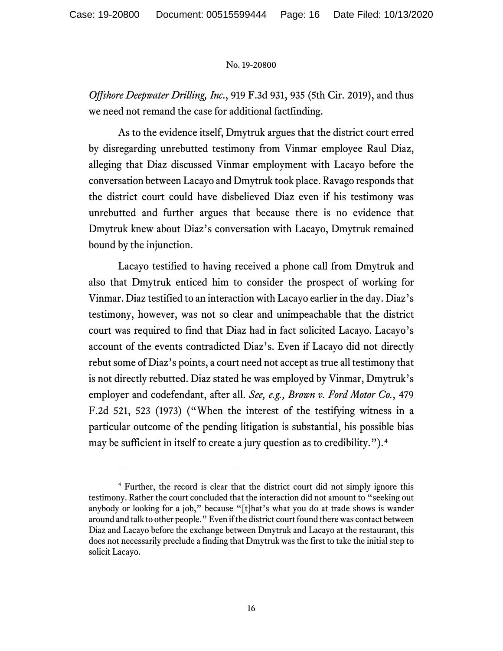*Offshore Deepwater Drilling, Inc*., 919 F.3d 931, 935 (5th Cir. 2019), and thus we need not remand the case for additional factfinding.

As to the evidence itself, Dmytruk argues that the district court erred by disregarding unrebutted testimony from Vinmar employee Raul Diaz, alleging that Diaz discussed Vinmar employment with Lacayo before the conversation between Lacayo and Dmytruk took place. Ravago responds that the district court could have disbelieved Diaz even if his testimony was unrebutted and further argues that because there is no evidence that Dmytruk knew about Diaz's conversation with Lacayo, Dmytruk remained bound by the injunction.

Lacayo testified to having received a phone call from Dmytruk and also that Dmytruk enticed him to consider the prospect of working for Vinmar. Diaz testified to an interaction with Lacayo earlier in the day. Diaz's testimony, however, was not so clear and unimpeachable that the district court was required to find that Diaz had in fact solicited Lacayo. Lacayo's account of the events contradicted Diaz's. Even if Lacayo did not directly rebut some of Diaz's points, a court need not accept as true all testimony that is not directly rebutted. Diaz stated he was employed by Vinmar, Dmytruk's employer and codefendant, after all. *See, e.g., Brown v. Ford Motor Co.*, 479 F.2d 521, 523 (1973) ("When the interest of the testifying witness in a particular outcome of the pending litigation is substantial, his possible bias may be sufficient in itself to create a jury question as to credibility."). [4](#page-15-0)

<span id="page-15-0"></span><sup>4</sup> Further, the record is clear that the district court did not simply ignore this testimony. Rather the court concluded that the interaction did not amount to "seeking out anybody or looking for a job," because "[t]hat's what you do at trade shows is wander around and talk to other people." Even if the district court found there was contact between Diaz and Lacayo before the exchange between Dmytruk and Lacayo at the restaurant, this does not necessarily preclude a finding that Dmytruk was the first to take the initial step to solicit Lacayo.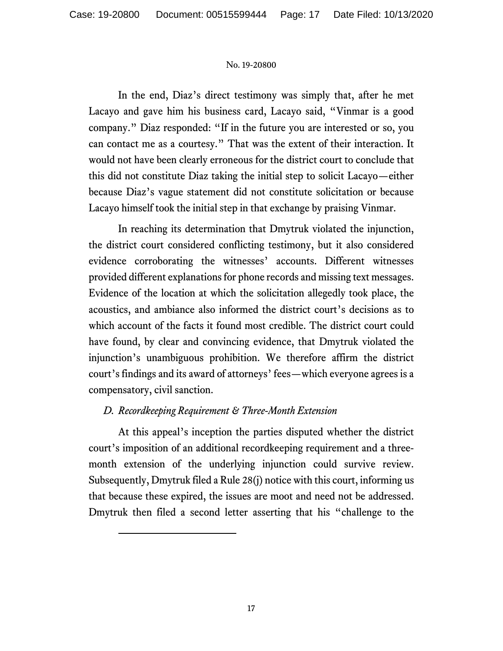In the end, Diaz's direct testimony was simply that, after he met Lacayo and gave him his business card, Lacayo said, "Vinmar is a good company." Diaz responded: "If in the future you are interested or so, you can contact me as a courtesy." That was the extent of their interaction. It would not have been clearly erroneous for the district court to conclude that this did not constitute Diaz taking the initial step to solicit Lacayo—either because Diaz's vague statement did not constitute solicitation or because Lacayo himself took the initial step in that exchange by praising Vinmar.

In reaching its determination that Dmytruk violated the injunction, the district court considered conflicting testimony, but it also considered evidence corroborating the witnesses' accounts. Different witnesses provided different explanations for phone records and missing text messages. Evidence of the location at which the solicitation allegedly took place, the acoustics, and ambiance also informed the district court's decisions as to which account of the facts it found most credible. The district court could have found, by clear and convincing evidence, that Dmytruk violated the injunction's unambiguous prohibition. We therefore affirm the district court's findings and its award of attorneys' fees—which everyone agrees is a compensatory, civil sanction.

# *D. Recordkeeping Requirement & Three-Month Extension*

At this appeal's inception the parties disputed whether the district court's imposition of an additional recordkeeping requirement and a threemonth extension of the underlying injunction could survive review. Subsequently, Dmytruk filed a Rule 28(j) notice with this court, informing us that because these expired, the issues are moot and need not be addressed. Dmytruk then filed a second letter asserting that his "challenge to the